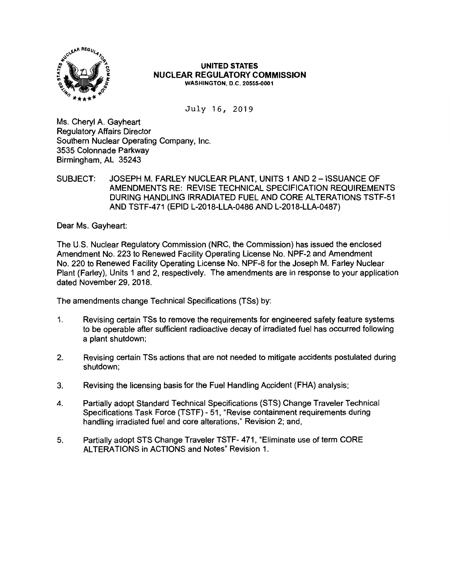

#### **UNITED STATES NUCLEAR REGULATORY COMMISSION WASHINGTON, D.C. 20555-0001**

July 16, 2019

Ms. Cheryl A. Gayheart Regulatory Affairs Director Southern Nuclear Operating Company, Inc. 3535 Colonnade Parkway Birmingham, AL 35243

SUBJECT: JOSEPH M. FARLEY NUCLEAR PLANT, UNITS 1 AND 2 - ISSUANCE OF AMENDMENTS RE: REVISE TECHNICAL SPECIFICATION REQUIREMENTS DURING HANDLING IRRADIATED FUEL AND CORE ALTERATIONS TSTF-51 AND TSTF-471 (EPID L-2018-LLA-0486 AND L-2018-LLA-0487)

Dear Ms. Gayheart:

The U.S. Nuclear Regulatory Commission (NRC, the Commission) has issued the enclosed Amendment No. 223 to Renewed Facility Operating License No. NPF-2 and Amendment No. 220 to Renewed Facility Operating License No. NPF-8 for the Joseph M. Farley Nuclear Plant (Farley), Units 1 and 2, respectively. The amendments are in response to your application dated November 29, 2018.

The amendments change Technical Specifications (TSs) by:

- 1. Revising certain TSs to remove the requirements for engineered safety feature systems to be operable after sufficient radioactive decay of irradiated fuel has occurred following a plant shutdown;
- 2. Revising certain TSs actions that are not needed to mitigate accidents postulated during shutdown;
- 3. Revising the licensing basis for the Fuel Handling Accident (FHA) analysis;
- 4. Partially adopt Standard Technical Specifications (STS) Change Traveler Technical Specifications Task Force (TSTF) - 51, "Revise containment requirements during handling irradiated fuel and core alterations," Revision 2; and,
- 5. Partially adopt STS Change Traveler TSTF- 471, "Eliminate use of term CORE ALTERATIONS in ACTIONS and Notes" Revision 1.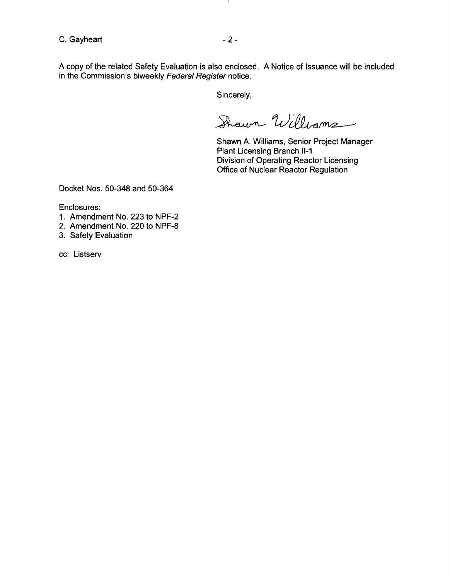C. Gayheart - 2 -

J.

A copy of the related Safety Evaluation is also enclosed. A Notice of Issuance will be included in the Commission's biweekly Federal Register notice.

Sincerely,

Shawn Williams

Shawn A. Williams, Senior Project Manager Plant Licensing Branch 11-1 Division of Operating Reactor Licensing Office of Nuclear Reactor Regulation

Docket Nos. 50-348 and 50-364

Enclosures:

- 1. Amendment No. 223 to NPF-2
- 2. Amendment No. 220 to NPF-8
- 3. Safety Evaluation

cc: Listserv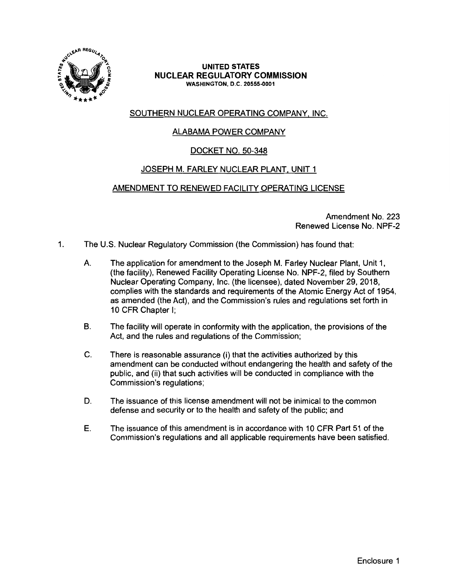

#### **UNITED STATES NUCLEAR REGULATORY COMMISSION WASHINGTON,** D.C. **20555-0001**

# SOUTHERN NUCLEAR OPERATING COMPANY, INC.

# ALABAMA POWER COMPANY

# DOCKET NO. 50-348

# JOSEPH M. FARLEY NUCLEAR PLANT, UNIT 1

# AMENDMENT TO RENEWED FACILITY OPERATING LICENSE

Amendment No. 223 Renewed License No. NPF-2

- 1. The U.S. Nuclear Regulatory Commission (the Commission) has found that:
	- A. The application for amendment to the Joseph M. Farley Nuclear Plant, Unit 1, (the facility), Renewed Facility Operating License No. NPF-2, filed by Southern Nuclear Operating Company, Inc. (the licensee), dated November 29, 2018, complies with the standards and requirements of the Atomic Energy Act of 1954, as amended (the Act), and the Commission's rules and regulations set forth in 10 CFR Chapter I;
	- B. The facility will operate in conformity with the application, the provisions of the Act, and the rules and regulations of the Commission;
	- C. There is reasonable assurance (i) that the activities authorized by this amendment can be conducted without endangering the health and safety of the public, and (ii) that such activities will be conducted in compliance with the Commission's regulations;
	- D. The issuance of this license amendment will not be inimical to the common defense and security or to the health and safety of the public; and
	- E. The issuance of this amendment is in accordance with 10 CFR Part 51 of the Commission's regulations and all applicable requirements have been satisfied.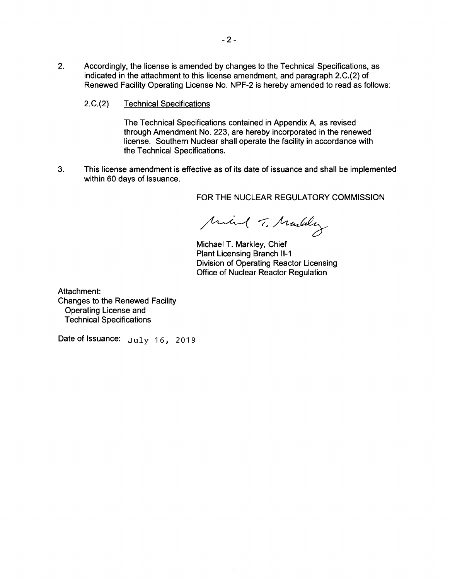- 2. Accordingly, the license is amended by changes to the Technical Specifications, as indicated in the attachment to this license amendment, and paragraph 2.C.(2) of Renewed Facility Operating License No. NPF-2 is hereby amended to read as follows:
	- 2.C.(2) Technical Specifications

The Technical Specifications contained in Appendix A, as revised through Amendment No. 223, are hereby incorporated in the renewed license. Southern Nuclear shall operate the facility in accordance with the Technical Specifications.

3. This license amendment is effective as of its date of issuance and shall be implemented within 60 days of issuance.

FOR THE NUCLEAR REGULATORY COMMISSION

Mind T. Marley

Michael T. Markley, Chief Plant Licensing Branch 11-1 Division of Operating Reactor Licensing Office of Nuclear Reactor Regulation

Attachment: Changes to the Renewed Facility Operating License and Technical Specifications

Date of Issuance: July 16, 2019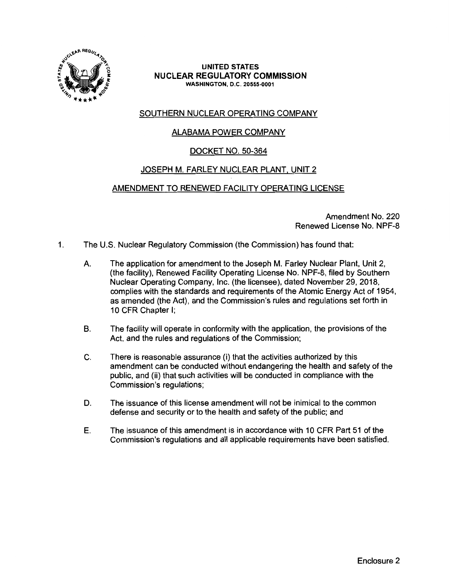

#### **UNITED STATES NUCLEAR REGULATORY COMMISSION WASHINGTON,** D.C. **20555-0001**

# SOUTHERN NUCLEAR OPERATING COMPANY

# ALABAMA POWER COMPANY

# DOCKET NO. 50-364

# JOSEPH M. FARLEY NUCLEAR PLANT, UNIT 2

# AMENDMENT TO RENEWED FACILITY OPERATING LICENSE

Amendment No. 220 Renewed License No. NPF-8

- 1. The U.S. Nuclear Regulatory Commission (the Commission) has found that:
	- A. The application for amendment to the Joseph M. Farley Nuclear Plant, Unit 2, (the facility), Renewed Facility Operating License No. NPF-8, filed by Southern Nuclear Operating Company, Inc. (the licensee), dated November 29, 2018, complies with the standards and requirements of the Atomic Energy Act of 1954, as amended (the Act), and the Commission's rules and regulations set forth in 10 CFR Chapter I;
	- B. The facility will operate in conformity with the application, the provisions of the Act, and the rules and regulations of the Commission;
	- C. There is reasonable assurance (i) that the activities authorized by this amendment can be conducted without endangering the health and safety of the public, and (ii) that such activities will be conducted in compliance with the Commission's regulations;
	- D. The issuance of this license amendment will not be inimical to the common defense and security or to the health and safety of the public; and
	- E. The issuance of this amendment is in accordance with 10 CFR Part 51 of the Commission's regulations and all applicable requirements have been satisfied.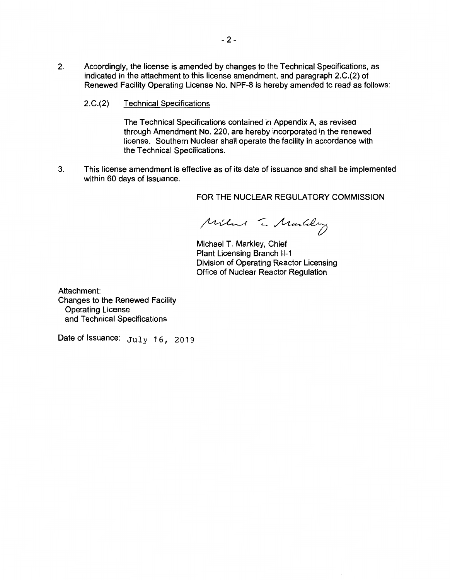- 2. Accordingly, the license is amended by changes to the Technical Specifications, as indicated in the attachment to this license amendment, and paragraph 2.C.(2) of Renewed Facility Operating License No. NPF-8 is hereby amended to read as follows:
	- 2.C.(2) Technical Specifications

The Technical Specifications contained in Appendix A, as revised through Amendment No. 220, are hereby incorporated in the renewed license. Southern Nuclear shall operate the facility in accordance with the Technical Specifications.

3. This license amendment is effective as of its date of issuance and shall be implemented within 60 days of issuance.

FOR THE NUCLEAR REGULATORY COMMISSION

Milme T. Martily

Michael T. Markley, Chief Plant Licensing Branch 11-1 Division of Operating Reactor Licensing Office of Nuclear Reactor Regulation

Attachment: Changes to the Renewed Facility Operating License and Technical Specifications

Date of Issuance:  $July 16, 2019$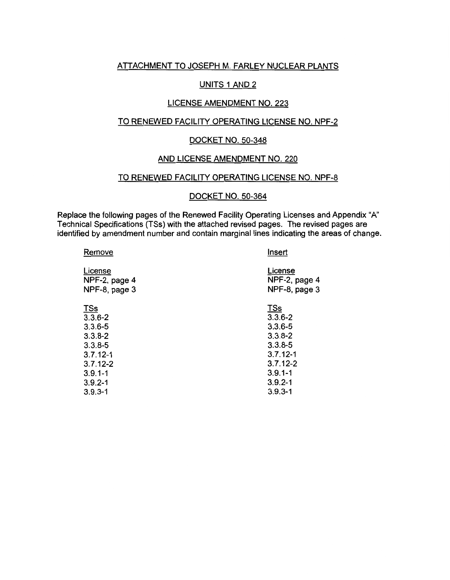## ATIACHMENT TO JOSEPH M. FARLEY NUCLEAR PLANTS

### UNITS 1 AND 2

#### LICENSE AMENDMENT NO. 223

# TO RENEWED FACILITY OPERATING LICENSE NO. NPF-2

#### DOCKET NO. 50-348

#### AND LICENSE AMENDMENT NO. 220

#### TO RENEWED FACILITY OPERATING LICENSE NO. NPF-8

#### DOCKET NO. 50-364

 $\mathbf{r}$ 

Replace the following pages of the Renewed Facility Operating Licenses and Appendix "A" Technical Specifications (TSs) with the attached revised pages. The revised pages are identified by amendment number and contain marginal lines indicating the areas of change.

| Remove        | Insert        |
|---------------|---------------|
| License       | License       |
| NPF-2, page 4 | NPF-2, page 4 |
| NPF-8, page 3 | NPF-8, page 3 |
| <u>TSs</u>    | <u>TSs</u>    |
| $3.3.6 - 2$   | $3.3.6 - 2$   |
| $3.3.6 - 5$   | $3.3.6 - 5$   |
| $3.3.8 - 2$   | $3.3.8 - 2$   |
| $3.3.8 - 5$   | $3.3.8 - 5$   |
| $3.7.12 - 1$  | $3.7.12 - 1$  |
| $3.7.12 - 2$  | $3.7.12 - 2$  |
| $3.9.1 - 1$   | $3.9.1 - 1$   |
| $3.9.2 - 1$   | $3.9.2 - 1$   |
| $3.9.3 - 1$   | $3.9.3 - 1$   |
|               |               |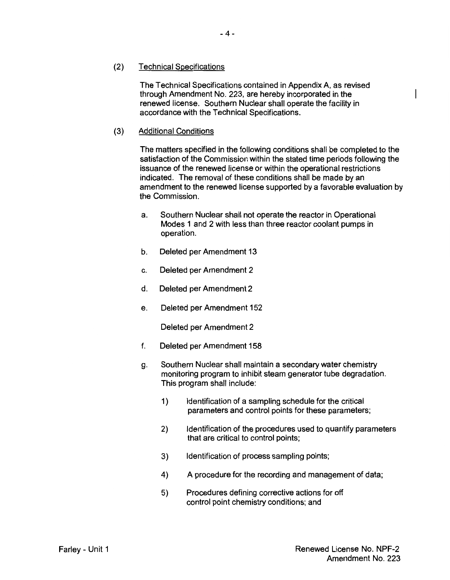## (2) Technical Specifications

The Technical Specifications contained in Appendix A, as revised through Amendment No. 223, are hereby incorporated in the renewed license. Southern Nuclear shall operate the facility in accordance with the Technical Specifications.

### (3) Additional Conditions

The matters specified in the following conditions shall be completed to the satisfaction of the Commission within the stated time periods following the issuance of the renewed license or within the operational restrictions indicated. The removal of these conditions shall be made by an amendment to the renewed license supported by a favorable evaluation by the Commission.

- a. Southern Nuclear shall not operate the reactor in Operational Modes 1 and 2 with less than three reactor coolant pumps in operation.
- b. Deleted per Amendment 13
- c. Deleted per Amendment 2
- d. Deleted per Amendment 2
- e. Deleted per Amendment 152

Deleted per Amendment 2

- f. Deleted per Amendment 158
- g. Southern Nuclear shall maintain a secondary water chemistry monitoring program to inhibit steam generator tube degradation. This program shall include:
	- 1) Identification of a sampling schedule for the critical parameters and control points for these parameters;
	- 2) Identification of the procedures used to quantify parameters that are critical to control points;
	- 3) Identification of process sampling points;
	- 4) A procedure for the recording and management of data;
	- 5) Procedures defining corrective actions for off control point chemistry conditions; and

 $\overline{\phantom{a}}$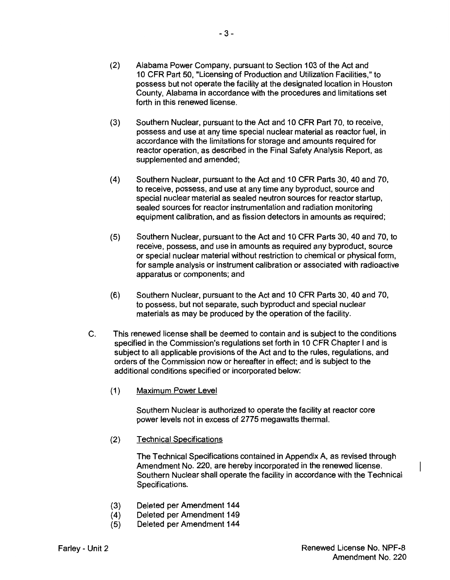- (2) Alabama Power Company, pursuant to Section 103 of the Act and 10 CFR Part 50, "Licensing of Production and Utilization Facilities," to possess but not operate the facility at the designated location in Houston County, Alabama in accordance with the procedures and limitations set forth in this renewed license.
- (3) Southern Nuclear, pursuant to the Act and 10 CFR Part 70, to receive, possess and use at any time special nuclear material as reactor fuel, in accordance with the limitations for storage and amounts required for reactor operation, as described in the Final Safety Analysis Report, as supplemented and amended;
- (4) Southern Nuclear, pursuant to the Act and 10 CFR Parts 30, 40 and 70, to receive, possess, and use at any time any byproduct, source and special nuclear material as sealed neutron sources for reactor startup, sealed sources for reactor instrumentation and radiation monitoring equipment calibration, and as fission detectors in amounts as required;
- (5) Southern Nuclear, pursuant to the Act and 10 CFR Parts 30, 40 and 70, to receive, possess, and use in amounts as required any byproduct, source or special nuclear material without restriction to chemical or physical form, for sample analysis or instrument calibration or associated with radioactive apparatus or components; and
- (6) Southern Nuclear, pursuant to the Act and 10 CFR Parts 30, 40 and 70, to possess, but not separate, such byproduct and special nuclear materials as may be produced by the operation of the facility.
- C. This renewed license shall be deemed to contain and is subject to the conditions specified in the Commission's regulations set forth in 10 CFR Chapter I and is subject to all applicable provisions of the Act and to the rules, regulations, and orders of the Commission now or hereafter in effect; and is subject to the additional conditions specified or incorporated below:
	- (1) Maximum Power Level

Southern Nuclear is authorized to operate the facility at reactor core power levels not in excess of 2775 megawatts thermal.

(2) Technical Specifications

The Technical Specifications contained in Appendix A, as revised through Amendment No. 220, are hereby incorporated in the renewed license. Southern Nuclear shall operate the facility in accordance with the Technical Specifications.

- (3) Deleted per Amendment 144
- (4) Deleted per Amendment 149
- (5) Deleted per Amendment 144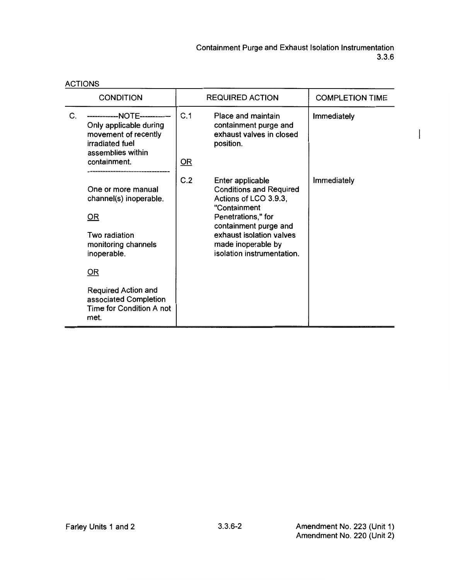$\begin{array}{c} \end{array}$ 

|                  | <b>ACTIONS</b>                                                                                                                                                                                                          |                        |                                                                                                                                                                                                                            |                        |  |
|------------------|-------------------------------------------------------------------------------------------------------------------------------------------------------------------------------------------------------------------------|------------------------|----------------------------------------------------------------------------------------------------------------------------------------------------------------------------------------------------------------------------|------------------------|--|
| <b>CONDITION</b> |                                                                                                                                                                                                                         | <b>REQUIRED ACTION</b> |                                                                                                                                                                                                                            | <b>COMPLETION TIME</b> |  |
| C.               | ------------NOTE------------<br>Only applicable during<br>movement of recently<br>irradiated fuel<br>assemblies within<br>containment.                                                                                  | C.1<br>$OR$            | Place and maintain<br>containment purge and<br>exhaust valves in closed<br>position.                                                                                                                                       | Immediately            |  |
|                  | One or more manual<br>channel(s) inoperable.<br>$\overline{OR}$<br>Two radiation<br>monitoring channels<br>inoperable.<br>OR<br><b>Required Action and</b><br>associated Completion<br>Time for Condition A not<br>met. | C.2                    | Enter applicable<br><b>Conditions and Required</b><br>Actions of LCO 3.9.3,<br>"Containment<br>Penetrations," for<br>containment purge and<br>exhaust isolation valves<br>made inoperable by<br>isolation instrumentation. | Immediately            |  |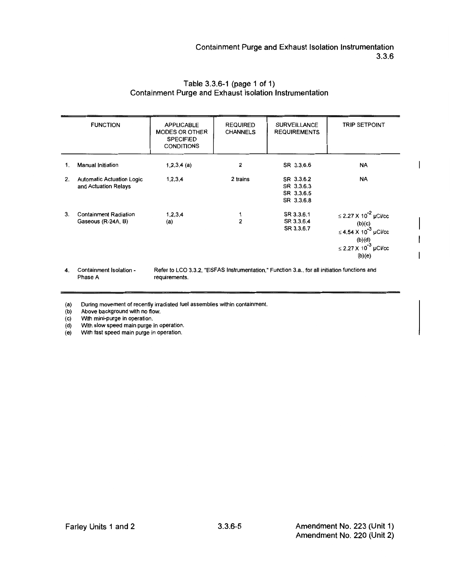|    | <b>FUNCTION</b>                                          | <b>APPLICABLE</b><br><b>MODES OR OTHER</b><br><b>SPECIFIED</b><br><b>CONDITIONS</b> | <b>REQUIRED</b><br><b>CHANNELS</b> | <b>SURVEILLANCE</b><br><b>REQUIREMENTS</b>                                                   | <b>TRIP SETPOINT</b>                                                                                                                   |
|----|----------------------------------------------------------|-------------------------------------------------------------------------------------|------------------------------------|----------------------------------------------------------------------------------------------|----------------------------------------------------------------------------------------------------------------------------------------|
| 1. | Manual Initiation                                        | $1,2,3,4$ (a)                                                                       | 2                                  | SR 3.3.6.6                                                                                   | <b>NA</b>                                                                                                                              |
| 2. | <b>Automatic Actuation Logic</b><br>and Actuation Relays | 1, 2, 3, 4                                                                          | 2 trains                           | SR 3.3.6.2<br>SR 3.3.6.3<br>SR 3.3.6.5<br>SR 3.3.6.8                                         | NA                                                                                                                                     |
| 3. | <b>Containment Radiation</b><br>Gaseous (R-24A, B)       | 1, 2, 3, 4<br>(a)                                                                   | $\overline{2}$                     | SR 3.3.6.1<br>SR 3.3.6.4<br>SR 3.3.6.7                                                       | ≤ 2.27 X 10 <sup>-2</sup> µCi/cc<br>(b)(c)<br>≤ 4.54 X 10 <sup>-3</sup> µCi/cc<br>(b)(d)<br>≤ 2.27 X 10 <sup>-3</sup> µCi/cc<br>(b)(e) |
| 4. | Containment Isolation -                                  |                                                                                     |                                    | Refer to LCO 3.3.2, "ESFAS Instrumentation," Function 3.a., for all initiation functions and |                                                                                                                                        |

## Table 3.3.6-1 (page 1 of 1) Containment Purge and Exhaust Isolation Instrumentation

(a) During movement of recently irradiated fuel assemblies within containment.

requirements.

(b) Above background with no flow.

Phase A

(c) With mini-purge in operation.<br>(d) With slow speed main purge i With slow speed main purge in operation.

(e) With fast speed main purge in operation.

 $\overline{\phantom{a}}$ 

ł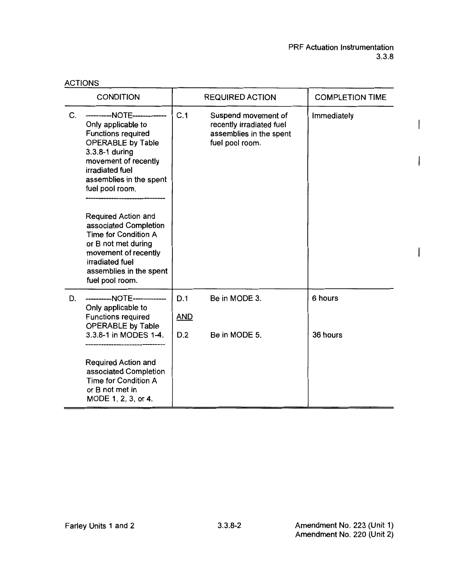$\overline{\phantom{a}}$ 

 $\overline{\phantom{a}}$ 

 $\overline{\phantom{a}}$ 

|    | <b>CONDITION</b>                                                                                                                                                                                                                                                                                                                                                                                                      | <b>REQUIRED ACTION</b>   |                                                                                               | <b>COMPLETION TIME</b> |
|----|-----------------------------------------------------------------------------------------------------------------------------------------------------------------------------------------------------------------------------------------------------------------------------------------------------------------------------------------------------------------------------------------------------------------------|--------------------------|-----------------------------------------------------------------------------------------------|------------------------|
| C. | ----------NOTE--------------<br>Only applicable to<br><b>Functions required</b><br><b>OPERABLE by Table</b><br>3.3.8-1 during<br>movement of recently<br>irradiated fuel<br>assemblies in the spent<br>fuel pool room.<br>Required Action and<br>associated Completion<br><b>Time for Condition A</b><br>or B not met during<br>movement of recently<br>irradiated fuel<br>assemblies in the spent<br>fuel pool room. | C.1                      | Suspend movement of<br>recently irradiated fuel<br>assemblies in the spent<br>fuel pool room. | Immediately            |
| D. | ----------NOTE--------------<br>Only applicable to<br><b>Functions required</b><br><b>OPERABLE by Table</b><br>3.3.8-1 in MODES 1-4.<br>Required Action and<br>associated Completion<br><b>Time for Condition A</b><br>or B not met in<br>MODE 1, 2, 3, or 4.                                                                                                                                                         | D.1<br><b>AND</b><br>D.2 | Be in MODE 3.<br>Be in MODE 5.                                                                | 6 hours<br>36 hours    |

ACTIONS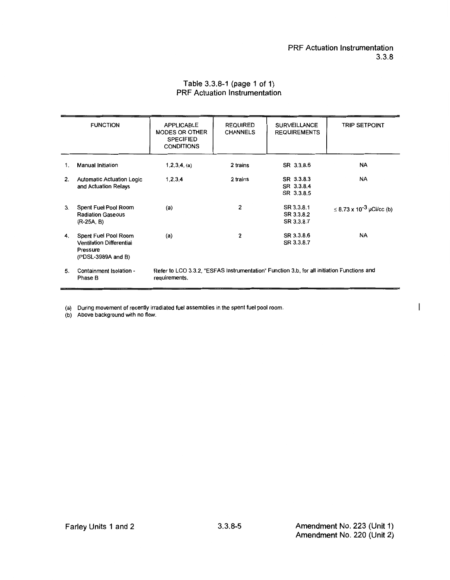#### PRF Actuation Instrumentation 3.3.8

### Table 3.3.8-1 (page 1 of 1) PRF Actuation Instrumentation

|    | <b>FUNCTION</b>                                                                           | <b>APPLICABLE</b><br><b>MODES OR OTHER</b><br><b>SPECIFIED</b><br><b>CONDITIONS</b> | <b>REQUIRED</b><br><b>CHANNELS</b> | <b>SURVEILLANCE</b><br><b>REQUIREMENTS</b>                                                 | <b>TRIP SETPOINT</b>                 |
|----|-------------------------------------------------------------------------------------------|-------------------------------------------------------------------------------------|------------------------------------|--------------------------------------------------------------------------------------------|--------------------------------------|
| 1. | <b>Manual Initiation</b>                                                                  | 1,2,3,4, (a)                                                                        | 2 trains                           | SR 3.3.8.6                                                                                 | <b>NA</b>                            |
| 2. | <b>Automatic Actuation Logic</b><br>and Actuation Relays                                  | 1,2,3,4                                                                             | 2 trains                           | SR 3.3.8.3<br>SR 3.3.8.4<br>SR 3.3.8.5                                                     | NA                                   |
| 3. | Spent Fuel Pool Room<br><b>Radiation Gaseous</b><br>$(R-25A, B)$                          | (a)                                                                                 | $\overline{2}$                     | SR 3.3.8.1<br>SR 3.3.8.2<br>SR 3.3.8.7                                                     | ≤ 8.73 x 10 <sup>-3</sup> µCi/cc (b) |
| 4. | Spent Fuel Pool Room<br><b>Ventilation Differential</b><br>Pressure<br>(PDSL-3989A and B) | (a)                                                                                 | $\overline{2}$                     | SR 3.3.8.6<br>SR 3.3.8.7                                                                   | <b>NA</b>                            |
| 5. | Containment Isolation -<br>Phase B                                                        | requirements.                                                                       |                                    | Refer to LCO 3.3.2, "ESFAS Instrumentation" Function 3.b, for all initiation Functions and |                                      |

(a) During movement of recently irradiated fuel assemblies in the spent fuel pool room.

(b) Above background with no flow.

 $\overline{\phantom{a}}$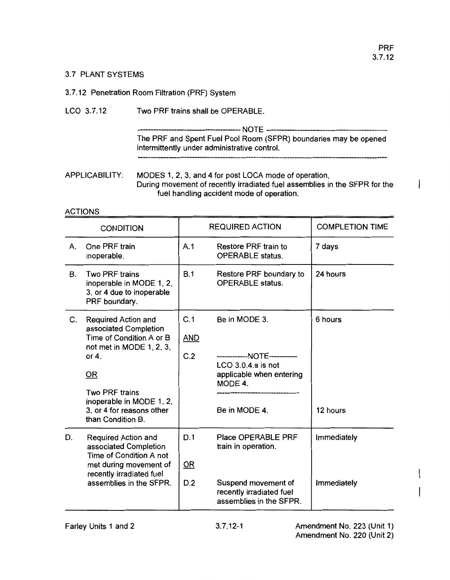I

#### 3.7 PLANT SYSTEMS

### 3. 7 .12 Penetration Room Filtration (PRF) System

## LCO 3.7.12 Two PRF trains shall be OPERABLE.

---------------------------------------- NOTE ----------------------------------------------- The PRF and Spent Fuel Pool Room (SFPR) boundaries may be opened intermittently under administrative control.

## APPLICABILITY: MODES 1, 2, 3, and 4 for post LOCA mode of operation, During movement of recently irradiated fuel assemblies in the SFPR for the fuel handling accident mode of operation.

### ACTIONS

|    | <b>CONDITION</b>                                                                                                                                                                                                              |                          | <b>REQUIRED ACTION</b>                                                                                                       | <b>COMPLETION TIME</b>     |
|----|-------------------------------------------------------------------------------------------------------------------------------------------------------------------------------------------------------------------------------|--------------------------|------------------------------------------------------------------------------------------------------------------------------|----------------------------|
| А. | One PRF train<br>inoperable.                                                                                                                                                                                                  | A.1                      | Restore PRF train to<br><b>OPERABLE</b> status.                                                                              | 7 days                     |
| В. | <b>Two PRF trains</b><br>inoperable in MODE 1, 2,<br>3, or 4 due to inoperable<br>PRF boundary.                                                                                                                               | B.1                      | Restore PRF boundary to<br><b>OPERABLE</b> status.                                                                           | 24 hours                   |
| C. | Required Action and<br>associated Completion<br>Time of Condition A or B<br>not met in MODE 1, 2, 3,<br>or $4$ .<br>OR<br><b>Two PRF trains</b><br>inoperable in MODE 1, 2,<br>3, or 4 for reasons other<br>than Condition B. | C.1<br><b>AND</b><br>C.2 | Be in MODE 3.<br>------------NOTE-----------<br>$LCO$ 3.0.4.a is not<br>applicable when entering<br>MODE 4.<br>Be in MODE 4. | 6 hours<br>12 hours        |
| D. | Required Action and<br>associated Completion<br>Time of Condition A not<br>met during movement of<br>recently irradiated fuel<br>assemblies in the SFPR.                                                                      | D.1<br>OR<br>D.2         | Place OPERABLE PRF<br>train in operation.<br>Suspend movement of<br>recently irradiated fuel<br>assemblies in the SFPR.      | Immediately<br>Immediately |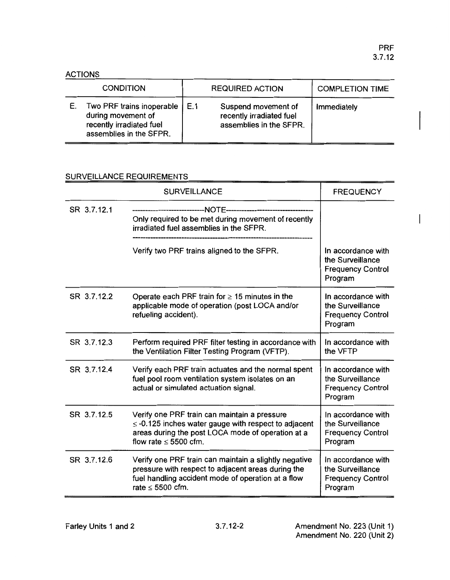$\overline{\phantom{a}}$ 

| <b>CONDITION</b>                                                                                       |     | <b>REQUIRED ACTION</b>                                                     | <b>COMPLETION TIME</b> |
|--------------------------------------------------------------------------------------------------------|-----|----------------------------------------------------------------------------|------------------------|
| Two PRF trains inoperable<br>during movement of<br>recently irradiated fuel<br>assemblies in the SFPR. | E.1 | Suspend movement of<br>recently irradiated fuel<br>assemblies in the SFPR. | Immediately            |

# SURVEILLANCE REQUIREMENTS

|             | <b>SURVEILLANCE</b>                                                                                                                                                                         | <b>FREQUENCY</b>                                                              |
|-------------|---------------------------------------------------------------------------------------------------------------------------------------------------------------------------------------------|-------------------------------------------------------------------------------|
| SR 3.7.12.1 | ----------NOTE---------------<br>Only required to be met during movement of recently<br>irradiated fuel assemblies in the SFPR.                                                             |                                                                               |
|             | Verify two PRF trains aligned to the SFPR.                                                                                                                                                  | In accordance with<br>the Surveillance<br><b>Frequency Control</b><br>Program |
| SR 3.7.12.2 | Operate each PRF train for $\geq$ 15 minutes in the<br>applicable mode of operation (post LOCA and/or<br>refueling accident).                                                               | In accordance with<br>the Surveillance<br><b>Frequency Control</b><br>Program |
| SR 3.7.12.3 | Perform required PRF filter testing in accordance with<br>the Ventilation Filter Testing Program (VFTP).                                                                                    | In accordance with<br>the VFTP                                                |
| SR 3.7.12.4 | Verify each PRF train actuates and the normal spent<br>fuel pool room ventilation system isolates on an<br>actual or simulated actuation signal.                                            | In accordance with<br>the Surveillance<br><b>Frequency Control</b><br>Program |
| SR 3.7.12.5 | Verify one PRF train can maintain a pressure<br>$\le$ -0.125 inches water gauge with respect to adjacent<br>areas during the post LOCA mode of operation at a<br>flow rate $\leq 5500$ cfm. | In accordance with<br>the Surveillance<br><b>Frequency Control</b><br>Program |
| SR 3.7.12.6 | Verify one PRF train can maintain a slightly negative<br>pressure with respect to adjacent areas during the<br>fuel handling accident mode of operation at a flow<br>rate $\leq$ 5500 cfm.  | In accordance with<br>the Surveillance<br><b>Frequency Control</b><br>Program |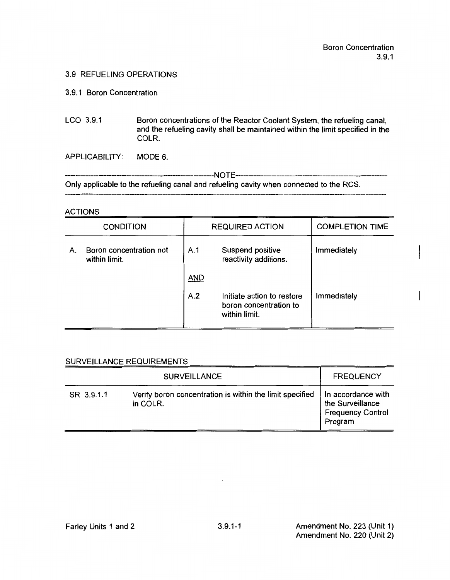#### 3.9 REFUELING OPERATIONS

#### 3.9.1 Boron Concentration

LCO 3.9.1 Boron concentrations of the Reactor Coolant System, the refueling canal, and the refueling cavity shall be maintained within the limit specified in the COLR.

APPLICABILITY: MODE 6.

----------------------------------------------------------NO TE---------------------------------------------------------- Only applicable to the refueling canal and refueling cavity when connected to the RCS.

#### ACTIONS

|    | <b>CONDITION</b>                         |            | <b>REQUIRED ACTION</b>                                                | <b>COMPLETION TIME</b> |
|----|------------------------------------------|------------|-----------------------------------------------------------------------|------------------------|
| А. | Boron concentration not<br>within limit. | A.1        | Suspend positive<br>reactivity additions.                             | Immediately            |
|    |                                          | <b>AND</b> |                                                                       |                        |
|    |                                          | A.2        | Initiate action to restore<br>boron concentration to<br>within limit. | Immediately            |

### SURVEILLANCE REQUIREMENTS **EXAMPLE AND A SURVEILLANCE**

|            | <b>SURVEILLANCE</b>                                                  | <b>FREQUENCY</b>                                                              |
|------------|----------------------------------------------------------------------|-------------------------------------------------------------------------------|
| SR 3.9.1.1 | Verify boron concentration is within the limit specified<br>in COLR. | In accordance with<br>the Surveillance<br><b>Frequency Control</b><br>Program |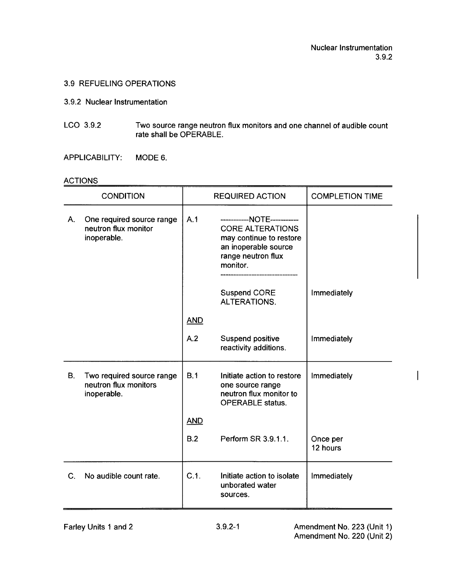### 3.9 REFUELING OPERATIONS

#### 3.9.2 Nuclear Instrumentation

LCO 3.9.2 Two source range neutron flux monitors and one channel of audible count rate shall be OPERABLE.

APPLICABILITY: MODE 6.

## ACTIONS

|             | <b>CONDITION</b>                                                  |            | <b>REQUIRED ACTION</b>                                                                                                                     | <b>COMPLETION TIME</b> |
|-------------|-------------------------------------------------------------------|------------|--------------------------------------------------------------------------------------------------------------------------------------------|------------------------|
| A.          | One required source range<br>neutron flux monitor<br>inoperable.  | A.1        | -----------NOTE-----------<br><b>CORE ALTERATIONS</b><br>may continue to restore<br>an inoperable source<br>range neutron flux<br>monitor. |                        |
|             |                                                                   |            | <b>Suspend CORE</b><br><b>ALTERATIONS.</b>                                                                                                 | Immediately            |
|             |                                                                   | <b>AND</b> |                                                                                                                                            |                        |
|             |                                                                   | A.2        | Suspend positive<br>reactivity additions.                                                                                                  | Immediately            |
| B.          | Two required source range<br>neutron flux monitors<br>inoperable. | B.1        | Initiate action to restore<br>one source range<br>neutron flux monitor to<br><b>OPERABLE status.</b>                                       | Immediately            |
|             |                                                                   | <b>AND</b> |                                                                                                                                            |                        |
|             |                                                                   | B.2        | Perform SR 3.9.1.1.                                                                                                                        | Once per<br>12 hours   |
| $C_{\cdot}$ | No audible count rate.                                            | C.1.       | Initiate action to isolate<br>unborated water<br>sources.                                                                                  | Immediately            |

 $\overline{\phantom{a}}$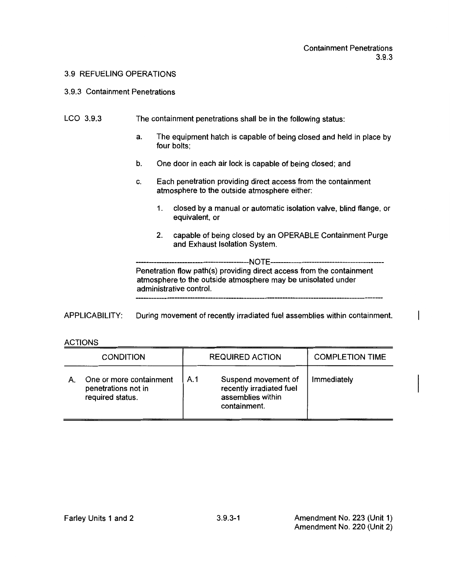#### 3.9 REFUELING OPERATIONS

#### 3.9.3 Containment Penetrations

#### LCO 3.9.3 The containment penetrations shall be in the following status:

- a. The equipment hatch is capable of being closed and held in place by four bolts;
- b. One door in each air lock is capable of being closed; and
- c. Each penetration providing direct access from the containment atmosphere to the outside atmosphere either:
	- 1. closed by a manual or automatic isolation valve, blind flange, or equivalent, or
	- 2. capable of being closed by an OPERABLE Containment Purge and Exhaust Isolation System.

---NOTE----Penetration flow path(s) providing direct access from the containment atmosphere to the outside atmosphere may be unisolated under administrative control.

APPLICABILITY: During movement of recently irradiated fuel assemblies within containment.

### ACTIONS

| <b>CONDITION</b>                                                   | <b>REQUIRED ACTION</b> |                                                                                      | <b>COMPLETION TIME</b> |
|--------------------------------------------------------------------|------------------------|--------------------------------------------------------------------------------------|------------------------|
| One or more containment<br>penetrations not in<br>required status. | A.1                    | Suspend movement of<br>recently irradiated fuel<br>assemblies within<br>containment. | Immediately            |

 $\overline{\phantom{a}}$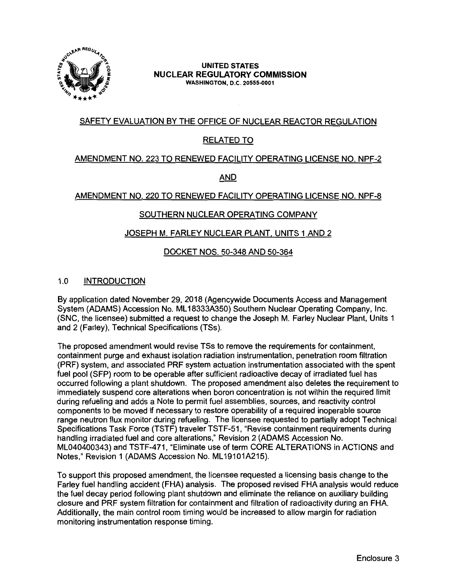

#### **UNITED STATES NUCLEAR REGULATORY COMMISSION WASHINGTON, D.C. 20555-0001**

# SAFETY EVALUATION BY THE OFFICE OF NUCLEAR REACTOR REGULATION

# RELATED TO

## AMENDMENT NO. 223 TO RENEWED FACILITY OPERATING LICENSE NO. NPF-2

AND

# AMENDMENT NO. 220 TO RENEWED FACILITY OPERATING LICENSE NO. NPF-8

# SOUTHERN NUCLEAR OPERATING COMPANY

# JOSEPH M. FARLEY NUCLEAR PLANT, UNITS 1 AND 2

# DOCKET NOS. 50-348 AND 50-364

## 1.0 INTRODUCTION

By application dated November 29, 2018 (Agencywide Documents Access and Management System (ADAMS) Accession No. ML 18333A350) Southern Nuclear Operating Company, Inc. (SNC, the licensee) submitted a request to change the Joseph M. Farley Nuclear Plant, Units 1 and 2 (Farley), Technical Specifications (TSs).

The proposed amendment would revise TSs to remove the requirements for containment, containment purge and exhaust isolation radiation instrumentation, penetration room filtration (PRF) system, and associated PRF system actuation instrumentation associated with the spent fuel pool (SFP) room to be operable after sufficient radioactive decay of irradiated fuel has occurred following a plant shutdown. The proposed amendment also deletes the requirement to immediately suspend core alterations when boron concentration is not within the required limit during refueling and adds a Note to permit fuel assemblies, sources, and reactivity control components to be moved if necessary to restore operability of a required inoperable source range neutron flux monitor during refueling. The licensee requested to partially adopt Technical Specifications Task Force (TSTF) traveler TSTF-51, "Revise containment requirements during handling irradiated fuel and core alterations," Revision 2 (ADAMS Accession No. ML040400343) and TSTF-471, "Eliminate use of term CORE AL TERA TIONS in ACTIONS and Notes," Revision 1 (ADAMS Accession No. ML19101A215).

To support this proposed amendment, the licensee requested a licensing basis change to the Farley fuel handling accident (FHA) analysis. The proposed revised FHA analysis would reduce the fuel decay period following plant shutdown and eliminate the reliance on auxiliary building closure and PRF system filtration for containment and filtration of radioactivity during an FHA. Additionally, the main control room timing would be increased to allow margin for radiation monitoring instrumentation response timing.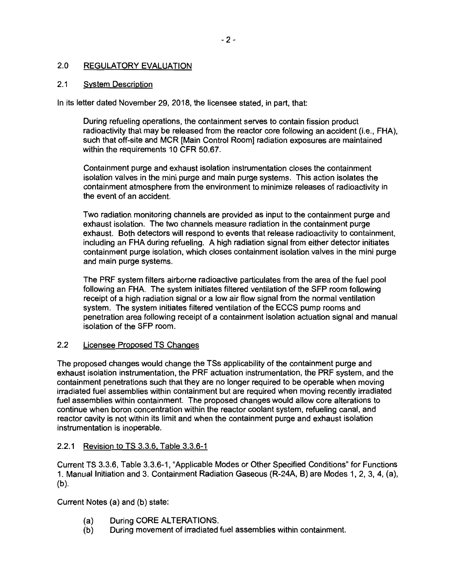#### 2.0 REGULATORY EVALUATION

#### 2.1 System Description

In its letter dated November 29, 2018, the licensee stated, in part, that:

During refueling operations, the containment serves to contain fission product radioactivity that may be released from the reactor core following an accident (i.e., FHA), such that off-site and MCR [Main Control Room] radiation exposures are maintained within the requirements 10 CFR 50.67.

Containment purge and exhaust isolation instrumentation closes the containment isolation valves in the mini purge and main purge systems. This action isolates the containment atmosphere from the environment to minimize releases of radioactivity in the event of an accident.

Two radiation monitoring channels are provided as input to the containment purge and exhaust isolation. The two channels measure radiation in the containment purge exhaust. Both detectors will respond to events that release radioactivity to containment, including an FHA during refueling. A high radiation signal from either detector initiates containment purge isolation, which closes containment isolation valves in the mini purge and main purge systems.

The PRF system filters airborne radioactive particulates from the area of the fuel pool following an FHA. The system initiates filtered ventilation of the SFP room following receipt of a high radiation signal or a low air flow signal from the normal ventilation system. The system initiates filtered ventilation of the ECCS pump rooms and penetration area following receipt of a containment isolation actuation signal and manual isolation of the SFP room.

#### **2.2**  Licensee Proposed TS Changes

The proposed changes would change the TSs applicability of the containment purge and exhaust isolation instrumentation, the PRF actuation instrumentation, the PRF system, and the containment penetrations such that they are no longer required to be operable when moving irradiated fuel assemblies within containment but are required when moving recently irradiated fuel assemblies within containment. The proposed changes would allow core alterations to continue when boron concentration within the reactor coolant system, refueling canal, and reactor cavity is not within its limit and when the containment purge and exhaust isolation instrumentation is inoperable.

# 2.2.1 Revision to TS 3.3.6, Table 3.3.6-1

Current TS 3.3.6, Table 3.3.6-1, "Applicable Modes or Other Specified Conditions" for Functions 1. Manual Initiation and 3. Containment Radiation Gaseous (R-24A, B) are Modes 1, 2, 3, 4, (a), (b).

Current Notes (a) and (b) state:

- (a) During CORE ALTERATIONS.
- (b) During movement of irradiated fuel assemblies within containment.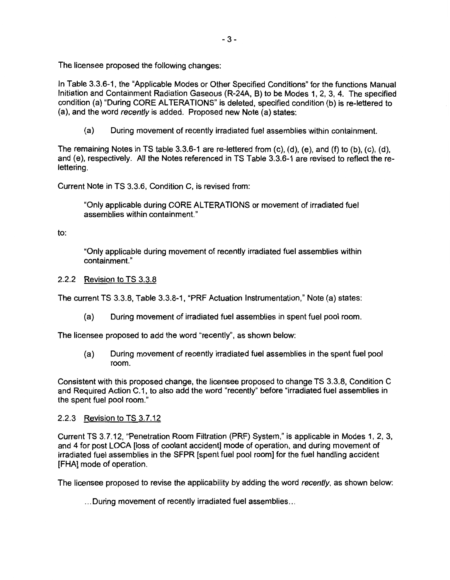The licensee proposed the following changes:

In Table 3.3.6-1, the "Applicable Modes or Other Specified Conditions" for the functions Manual Initiation and Containment Radiation Gaseous (R-24A, 8) to be Modes 1, 2, 3, 4. The specified condition (a) "During CORE ALTERATIONS" is deleted, specified condition (b) is re-lettered to (a), and the word recently is added. Proposed new Note (a) states:

(a) During movement of recently irradiated fuel assemblies within containment.

The remaining Notes in TS table 3.3.6-1 are re-lettered from (c), (d), (e), and (f) to (b), (c), (d), and (e), respectively. All the Notes referenced in TS Table 3.3.6-1 are revised to reflect the relettering.

Current Note in TS 3.3.6, Condition C, is revised from:

"Only applicable during CORE AL TERA TIONS or movement of irradiated fuel assemblies within containment."

to:

"Only applicable during movement of recently irradiated fuel assemblies within containment."

## 2.2.2 Revision to TS 3.3.8

The current TS 3.3.8, Table 3.3.8-1, "PRF Actuation Instrumentation," Note (a) states:

(a) During movement of irradiated fuel assemblies in spent fuel pool room.

The licensee proposed to add the word "recently", as shown below:

(a) During movement of recently irradiated fuel assemblies in the spent fuel pool room.

Consistent with this proposed change, the licensee proposed to change TS 3.3.8, Condition C and Required Action C.1, to also add the word "recently" before "irradiated fuel assemblies in the spent fuel pool room."

### 2.2.3 Revision to TS 3. 7.12

Current TS 3.7.12, "Penetration Room Filtration (PRF) System," is applicable in Modes 1, 2, 3, and 4 for post LOCA [loss of coolant accident] mode of operation, and during movement of irradiated fuel assemblies in the SFPR [spent fuel pool room] for the fuel handling accident [FHA] mode of operation.

The licensee proposed to revise the applicability by adding the word recently, as shown below:

... During movement of recently irradiated fuel assemblies ...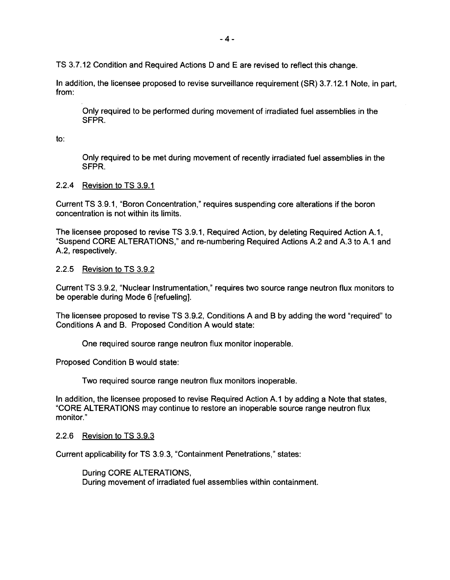TS 3.7.12 Condition and Required Actions D and E are revised to reflect this change.

In addition, the licensee proposed to revise surveillance requirement (SR) 3.7.12.1 Note, in part, from:

Only required to be performed during movement of irradiated fuel assemblies in the **SFPR.** 

to:

Only required to be met during movement of recently irradiated fuel assemblies in the **SFPR.** 

### 2.2.4 Revision to TS 3.9.1

Current TS 3.9.1, "Boron Concentration," requires suspending core alterations if the boron concentration is not within its limits.

The licensee proposed to revise TS 3.9.1, Required Action, by deleting Required Action A.1, "Suspend CORE ALTERATIONS," and re-numbering Required Actions A.2 and A.3 to A.1 and A.2, respectively.

#### 2.2.5 Revision to TS 3.9.2

Current TS 3.9.2, "Nuclear Instrumentation," requires two source range neutron flux monitors to be operable during Mode 6 [refueling].

The licensee proposed to revise TS 3.9.2, Conditions A and 8 by adding the word "required" to Conditions A and 8. Proposed Condition A would state:

One required source range neutron flux monitor inoperable.

Proposed Condition 8 would state:

Two required source range neutron flux monitors inoperable.

In addition, the licensee proposed to revise Required Action A.1 by adding a Note that states, "CORE AL TERA TIONS may continue to restore an inoperable source range neutron flux monitor."

#### 2.2.6 Revision to TS 3.9.3

Current applicability for TS 3.9.3, "Containment Penetrations," states:

During CORE ALTERATIONS, During movement of irradiated fuel assemblies within containment.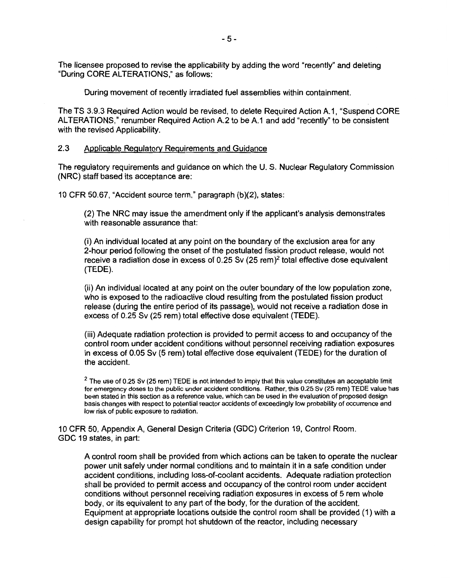The licensee proposed to revise the applicability by adding the word "recently" and deleting "During CORE ALTERATIONS," as follows:

During movement of recently irradiated fuel assemblies within containment.

The TS 3.9.3 Required Action would be revised, to delete Required Action A.1, "Suspend CORE ALTERATIONS," renumber Required Action A.2 to be A.1 and add "recently" to be consistent with the revised Applicability.

#### 2.3 Applicable Regulatory Requirements and Guidance

The regulatory requirements and guidance on which the U. S. Nuclear Regulatory Commission **(NRC)** staff based its acceptance are:

10 CFR 50.67, "Accident source term," paragraph (b){2), states:

(2) The NRC may issue the amendment only if the applicant's analysis demonstrates with reasonable assurance that:

(i) An individual located at any point on the boundary of the exclusion area for any 2-hour period following the onset of the postulated fission product release, would not receive a radiation dose in excess of  $0.25$  Sv  $(25 \text{ rem})^2$  total effective dose equivalent (TEDE).

(ii) An individual located at any point on the outer boundary of the low population zone, who is exposed to the radioactive cloud resulting from the postulated fission product release ( during the entire period of its passage), would not receive a radiation dose in excess of 0.25 Sv (25 rem) total effective dose equivalent {TEDE).

(iii) Adequate radiation protection is provided to permit access to and occupancy of the control room under accident conditions without personnel receiving radiation exposures in excess of 0.05 Sv (5 rem) total effective dose equivalent (TEDE) for the duration of the accident.

 $2$  The use of 0.25 Sv (25 rem) TEDE is not intended to imply that this value constitutes an acceptable limit for emergency doses to the public under accident conditions. Rather, this 0.25 Sv (25 rem) TEDE value has been stated in this section as a reference value, which can be used in the evaluation of proposed design basis changes with respect to potential reactor accidents of exceedingly low probability of occurrence and low risk of public exposure to radiation.

10 CFR 50, Appendix A, General Design Criteria (GDC) Criterion 19, Control Room. GDC 19 states, in part:

A control room shall be provided from which actions can be taken to operate the nuclear power unit safely under normal conditions and to maintain it in a safe condition under accident conditions, including loss-of-coolant accidents. Adequate radiation protection shall be provided to permit access and occupancy of the control room under accident conditions without personnel receiving radiation exposures in excess of 5 rem whole body, or its equivalent to any part of the body, for the duration of the accident. Equipment at appropriate locations outside the control room shall be provided ( 1) with a design capability for prompt hot shutdown of the reactor, including necessary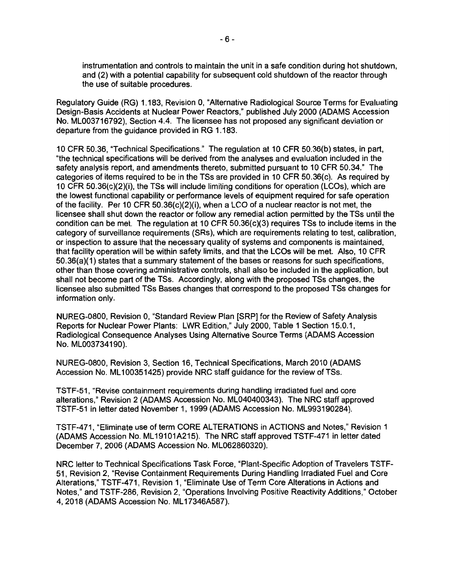instrumentation and controls to maintain the unit in a safe condition during hot shutdown, and (2) with a potential capability for subsequent cold shutdown of the reactor through the use of suitable procedures.

Regulatory Guide (RG) 1.183, Revision 0, "Alternative Radiological Source Terms for Evaluating Design-Basis Accidents at Nuclear Power Reactors," published July 2000 **(ADAMS** Accession No. ML003716792), Section 4.4. The licensee has not proposed any significant deviation or departure from the guidance provided in RG 1.183.

10 CFR 50.36, ''Technical Specifications." The regulation at 10 CFR 50.36(b) states, in part, "the technical specifications will be derived from the analyses and evaluation included in the safety analysis report, and amendments thereto, submitted pursuant to 10 CFR 50.34." The categories of items required to be in the TSs are provided in 10 CFR 50.36(c). As required by 10 CFR 50.36(c)(2)(i), the TSs will include limiting conditions for operation (LCOs), which are the lowest functional capability or performance levels of equipment required for safe operation of the facility. Per 10 CFR 50.36(c)(2)(i), when a LCO of a nuclear reactor is not met, the licensee shall shut down the reactor or follow any remedial action permitted by the TSs until the condition can be met. The regulation at 10 CFR 50.36(c)(3) requires TSs to include items in the category of surveillance requirements (SRs), which are requirements relating to test, calibration, or inspection to assure that the necessary quality of systems and components is maintained, that facility operation will be within safety limits, and that the LCOs will be met. Also, 10 CFR 50.36(a)(1) states that a summary statement of the bases or reasons for such specifications, other than those covering administrative controls, shall also be included in the application, but shall not become part of the TSs. Accordingly, along with the proposed TSs changes, the licensee also submitted TSs Bases changes that correspond to the proposed TSs changes for information only.

NUREG-0800, Revision 0, "Standard Review Plan [SRP] for the Review of Safety Analysis Reports for Nuclear Power Plants: LWR Edition," July 2000, Table 1 Section 15.0.1, Radiological Consequence Analyses Using Alternative Source Terms (ADAMS Accession No. ML003734190).

NUREG-0800, Revision 3, Section 16, Technical Specifications, March 2010 (ADAMS Accession No. ML100351425) provide NRC staff guidance for the review of TSs.

TSTF-51, "Revise containment requirements during handling irradiated fuel and core alterations," Revision 2 (ADAMS Accession No. ML040400343). The NRC staff approved TSTF-51 in letter dated November 1, 1999 (ADAMS Accession No. ML993190284).

TSTF-471, "Eliminate use of term CORE ALTERATIONS in ACTIONS and Notes," Revision 1 (ADAMS Accession No. ML 19101A215). The NRC staff approved TSTF-471 in letter dated December 7, 2006 (ADAMS Accession No. ML062860320).

NRC letter to Technical Specifications Task Force, "Plant-Specific Adoption of Travelers TSTF-51, Revision 2, "Revise Containment Requirements During Handling Irradiated Fuel and Core Alterations," TSTF-471, Revision 1, "Eliminate Use of Term Core Alterations in Actions and Notes," and TSTF-286, Revision 2, "Operations Involving Positive Reactivity Additions," October 4, 2018 (ADAMS Accession No. ML17346A587).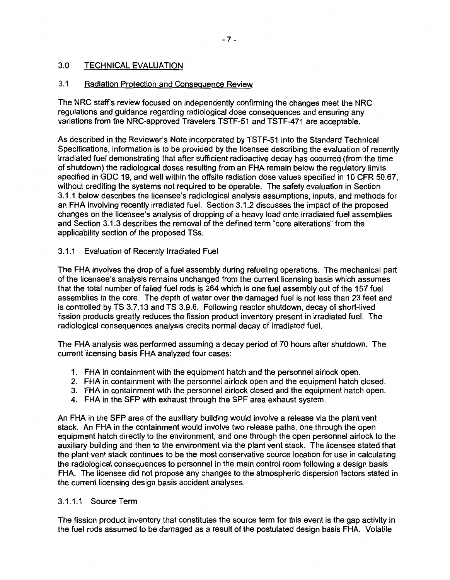#### 3.0 TECHNICAL EVALUATION

#### 3.1 Radiation Protection and Consequence Review

The NRC staff's review focused on independently confirming the changes meet the NRC regulations and guidance regarding radiological dose consequences and ensuring any variations from the NRG-approved Travelers TSTF-51 and TSTF-471 are acceptable.

As described in the Reviewer's Note incorporated by TSTF-51 into the Standard Technical Specifications, information is to be provided by the licensee describing the evaluation of recently irradiated fuel demonstrating that after sufficient radioactive decay has occurred (from the time of shutdown) the radiological doses resulting from an FHA remain below the regulatory limits specified in GDC 19, and well within the offsite radiation dose values specified in 10 CFR 50.67, without crediting the systems not required to be operable. The safety evaluation in Section 3.1.1 below describes the licensee's radiological analysis assumptions, inputs, and methods for an FHA involving recently irradiated fuel. Section 3.1.2 discusses the impact of the proposed changes on the licensee's analysis of dropping of a heavy load onto irradiated fuel assemblies and Section 3.1.3 describes the removal of the defined term "core alterations" from the applicability section of the proposed TSs.

## 3.1.1 Evaluation of Recently Irradiated Fuel

The FHA involves the drop of a fuel assembly during refueling operations. The mechanical part of the licensee's analysis remains unchanged from the current licensing basis which assumes that the total number of failed fuel rods is 264 which is one fuel assembly out of the 157 fuel assemblies in the core. The depth of water over the damaged fuel is not less than 23 feet and is controlled by TS 3.7.13 and TS 3.9.6. Following reactor shutdown, decay of short-lived fission products greatly reduces the fission product inventory present in irradiated fuel. The radiological consequences analysis credits normal decay of irradiated fuel.

The FHA analysis was performed assuming a decay period of 70 hours after shutdown. The current licensing basis FHA analyzed four cases:

- 1. FHA in containment with the equipment hatch and the personnel airlock open.
- 2. FHA in containment with the personnel airlock open and the equipment hatch closed.
- 3. FHA in containment with the personnel airlock closed and the equipment hatch open.
- 4. FHA in the SFP with exhaust through the SPF area exhaust system.

An FHA in the SFP area of the auxiliary building would involve a release via the plant vent stack. An FHA in the containment would involve two release paths, one through the open equipment hatch directly to the environment, and one through the open personnel airlock to the auxiliary building and then to the environment via the plant vent stack. The licensee stated that the plant vent stack continues to be the most conservative source location for use in calculating the radiological consequences to personnel in the main control room following a design basis FHA. The licensee did not propose any changes to the atmospheric dispersion factors stated in the current licensing design basis accident analyses.

### 3.1.1.1 Source Term

The fission product inventory that constitutes the source term for this event is the gap activity in the fuel rods assumed to be damaged as a result of the postulated design basis FHA. Volatile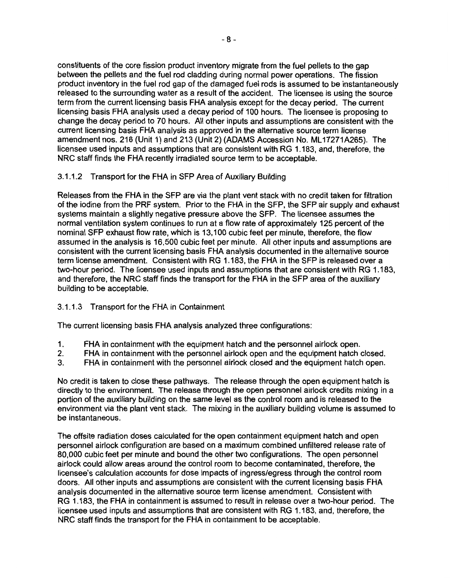constituents of the core fission product inventory migrate from the fuel pellets to the gap between the pellets and the fuel rod cladding during normal power operations. The fission product inventory in the fuel rod gap of the damaged fuel rods is assumed to be instantaneously released to the surrounding water as a result of the accident. The licensee is using the source term from the current licensing basis FHA analysis except for the decay period. The current licensing basis FHA analysis used a decay period of 100 hours. The licensee is proposing to change the decay period to 70 hours. All other inputs and assumptions are consistent with the current licensing basis FHA analysis as approved in the alternative source term license amendment nos. 216 (Unit 1) and 213 (Unit 2) (ADAMS Accession No. ML17271A265). The licensee used inputs and assumptions that are consistent with RG 1.183, and, therefore, the NRC staff finds the FHA recently irradiated source term to be acceptable.

# 3.1.1.2 Transport for the FHA in SFP Area of Auxiliary Building

Releases from the FHA in the SFP are via the plant vent stack with no credit taken for filtration of the iodine from the PRF system. Prior to the FHA in the SFP, the SFP air supply and exhaust systems maintain a slightly negative pressure above the SFP. The licensee assumes the normal ventilation system continues to run at a flow rate of approximately 125 percent of the nominal SFP exhaust flow rate, which is 13,100 cubic feet per minute, therefore, the flow assumed in the analysis is 16,500 cubic feet per minute. All other inputs and assumptions are consistent with the current licensing basis FHA analysis documented in the alternative source term license amendment. Consistent with RG 1.183, the FHA in the SFP is released over a two-hour period. The licensee used inputs and assumptions that are consistent with RG 1.183, and therefore, the NRC staff finds the transport for the FHA in the SFP area of the auxiliary building to be acceptable.

# 3.1.1.3 Transport for the FHA in Containment

The current licensing basis FHA analysis analyzed three configurations:

- 1. FHA in containment with the equipment hatch and the personnel airlock open.
- 2. FHA in containment with the personnel airlock open and the equipment hatch closed.
- 3. FHA in containment with the personnel airlock closed and the equipment hatch open.

No credit is taken to close these pathways. The release through the open equipment hatch is directly to the environment. The release through the open personnel airlock credits mixing in a portion of the auxiliary building on the same level as the control room and is released to the environment via the plant vent stack. The mixing in the auxiliary building volume is assumed to be instantaneous.

The offsite radiation doses calculated for the open containment equipment hatch and open personnel airlock configuration are based on a maximum combined unfiltered release rate of 80,000 cubic feet per minute and bound the other two configurations. The open personnel airlock could allow areas around the control room to become contaminated, therefore, the licensee's calculation accounts for dose impacts of ingress/egress through the control room doors. All other inputs and assumptions are consistent with the current licensing basis FHA analysis documented in the alternative source term license amendment. Consistent with RG 1.183, the FHA in containment is assumed to result in release over a two-hour period. The licensee used inputs and assumptions that are consistent with RG 1.183, and, therefore, the NRC staff finds the transport for the FHA in containment to be acceptable.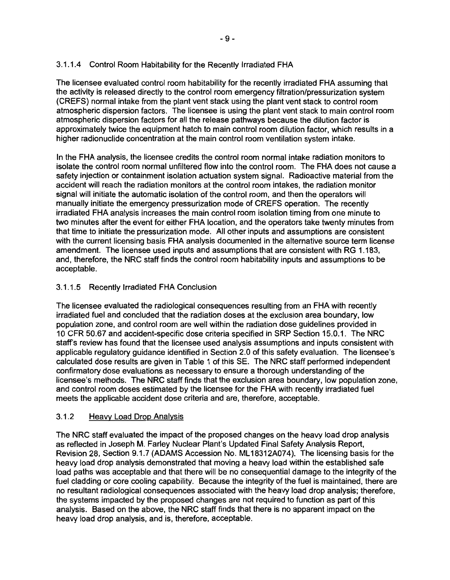# 3.1.1.4 Control Room Habitability for the Recently Irradiated FHA

The licensee evaluated control room habitability for the recently irradiated FHA assuming that the activity is released directly to the control room emergency filtration/pressurization system (CREFS) normal intake from the plant vent stack using the plant vent stack to control room atmospheric dispersion factors. The licensee is using the plant vent stack to main control room atmospheric dispersion factors for all the release pathways because the dilution factor is approximately twice the equipment hatch to main control room dilution factor, which results in a higher radionuclide concentration at the main control room ventilation system intake.

In the FHA analysis, the licensee credits the control room normal intake radiation monitors to isolate the control room normal unfiltered flow into the control room. The FHA does not cause a safety injection or containment isolation actuation system signal. Radioactive material from the accident will reach the radiation monitors at the control room intakes, the radiation monitor signal will initiate the automatic isolation of the control room, and then the operators will manually initiate the emergency pressurization mode of CREFS operation. The recently irradiated FHA analysis increases the main control room isolation timing from one minute to two minutes after the event for either FHA location, and the operators take twenty minutes from that time to initiate the pressurization mode. All other inputs and assumptions are consistent with the current licensing basis FHA analysis documented in the alternative source term license amendment. The licensee used inputs and assumptions that are consistent with RG 1.183, and, therefore, the NRC staff finds the control room habitability inputs and assumptions to be acceptable.

# 3.1.1.5 Recently Irradiated FHA Conclusion

The licensee evaluated the radiological consequences resulting from an FHA with recently irradiated fuel and concluded that the radiation doses at the exclusion area boundary, low population zone, and control room are well within the radiation dose guidelines provided in 10 CFR 50.67 and accident-specific dose criteria specified in SRP Section 15.0.1. The NRC staff's review has found that the licensee used analysis assumptions and inputs consistent with applicable regulatory guidance identified in Section 2.0 of this safety evaluation. The licensee's calculated dose results are given in Table 1 of this SE. The NRC staff performed independent confirmatory dose evaluations as necessary to ensure a thorough understanding of the licensee's methods. The NRC staff finds that the exclusion area boundary, low population zone, and control room doses estimated by the licensee for the FHA with recently irradiated fuel meets the applicable accident dose criteria and are, therefore, acceptable.

# 3.1.2 Heavy Load Drop Analysis

The NRC staff evaluated the impact of the proposed changes on the heavy load drop analysis as reflected in Joseph M. Farley Nuclear Plant's Updated Final Safety Analysis Report, Revision 28, Section 9.1.7 (ADAMS Accession No. ML 18312A074). The licensing basis for the heavy load drop analysis demonstrated that moving a heavy load within the established safe load paths was acceptable and that there will be no consequential damage to the integrity of the fuel cladding or core cooling capability. Because the integrity of the fuel is maintained, there are no resultant radiological consequences associated with the heavy load drop analysis; therefore, the systems impacted by the proposed changes are not required to function as part of this analysis. Based on the above, the NRC staff finds that there is no apparent impact on the heavy load drop analysis, and is, therefore, acceptable.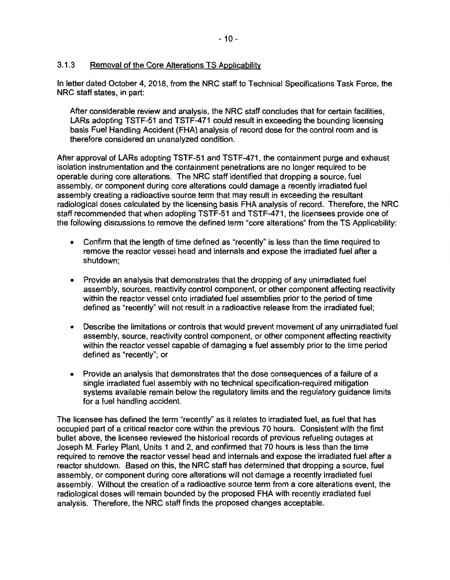# 3.1.3 Removal of the Core Alterations TS Applicability

In letter dated October 4, 2018, from the NRC staff to Technical Specifications Task Force, the NRC staff states, in part:

After considerable review and analysis, the NRC staff concludes that for certain facilities, LARs adopting TSTF-51 and TSTF-471 could result in exceeding the bounding licensing basis Fuel Handling Accident (FHA) analysis of record dose for the control room and is therefore considered an unanalyzed condition.

After approval of LARs adopting TSTF-51 and TSTF-471, the containment purge and exhaust isolation instrumentation and the containment penetrations are no longer required to be operable during core alterations. The NRC staff identified that dropping a source, fuel assembly, or component during core alterations could damage a recently irradiated fuel assembly creating a radioactive source term that may result in exceeding the resultant radiological doses calculated by the licensing basis FHA analysis of record. Therefore, the NRC staff recommended that when adopting TSTF-51 and TSTF-471, the licensees provide one of the following discussions to remove the defined term "core alterations" from the TS Applicability:

- Confirm that the length of time defined as "recently" is less than the time required to remove the reactor vessel head and internals and expose the irradiated fuel after a shutdown;
- Provide an analysis that demonstrates that the dropping of any unirradiated fuel assembly, sources, reactivity control component, or other component affecting reactivity within the reactor vessel onto irradiated fuel assemblies prior to the period of time defined as "recently" will not result in a radioactive release from the irradiated fuel;
- Describe the limitations or controls that would prevent movement of any unirradiated fuel assembly, source, reactivity control component, or other component affecting reactivity within the reactor vessel capable of damaging a fuel assembly prior to the time period defined as "recently"; or
- Provide an analysis that demonstrates that the dose consequences of a failure of a single irradiated fuel assembly with no technical specification-required mitigation systems available remain below the regulatory limits and the regulatory guidance limits for a fuel handling accident.

The licensee has defined the term "recently" as it relates to irradiated fuel, as fuel that has occupied part of a critical reactor core within the previous 70 hours. Consistent with the first bullet above, the licensee reviewed the historical records of previous refueling outages at Joseph M. Farley Plant, Units 1 and 2, and confirmed that 70 hours is less than the time required to remove the reactor vessel head and internals and expose the irradiated fuel after a reactor shutdown. Based on this, the NRC staff has determined that dropping a source, fuel assembly, or component during core alterations will not damage a recently irradiated fuel assembly. Without the creation of a radioactive source term from a core alterations event, the radiological doses will remain bounded by the proposed FHA with recently irradiated fuel analysis. Therefore, the NRC staff finds the proposed changes acceptable.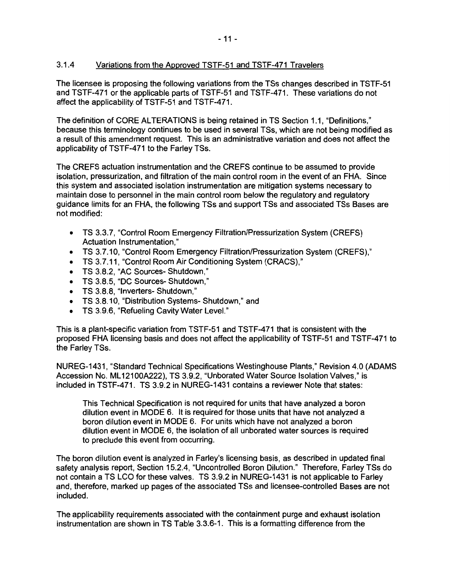# 3.1.4 Variations from the Approved TSTF-51 and TSTF-471 Travelers

The licensee is proposing the following variations from the TSs changes described in TSTF-51 and TSTF-471 or the applicable parts of TSTF-51 and TSTF-471. These variations do not affect the applicability. of TSTF-51 and TSTF-471.

The definition of CORE ALTERATIONS is being retained in TS Section 1.1, "Definitions," because this terminology continues to be used in several TSs, which are not being modified as a result of this amendment request. This is an administrative variation and does not affect the applicability of TSTF-471 to the Farley TSs.

The CREFS actuation instrumentation and the CREFS continue to be assumed to provide isolation, pressurization, and filtration of the main control room in the event of an FHA. Since this system and associated isolation instrumentation are mitigation systems necessary to maintain dose to personnel in the main control room below the regulatory and regulatory guidance limits for an FHA, the following TSs and support TSs and associated TSs Bases are not modified:

- TS 3.3.7, "Control Room Emergency Filtration/Pressurization System (CREFS) Actuation Instrumentation,"
- TS 3.7.10, "Control Room Emergency Filtration/Pressurization System (CREFS),"
- TS 3.7.11, "Control Room Air Conditioning System (CRACS),"
- TS 3.8.2, "AC Sources- Shutdown,"
- TS 3.8.5, "DC Sources- Shutdown,"
- TS 3.8.8, "Inverters- Shutdown,"
- TS 3.8.10, "Distribution Systems- Shutdown," and
- TS 3.9.6, "Refueling Cavity Water Level."

This is a plant-specific variation from TSTF-51 and TSTF-471 that is consistent with the proposed FHA licensing basis and does not affect the applicability of TSTF-51 and TSTF-471 to the Farley TSs.

NUREG-1431, "Standard Technical Specifications Westinghouse Plants," Revision 4.0 **(ADAMS**  Accession No. ML12100A222), TS 3.9.2, "Unborated Water Source Isolation Valves," is included in TSTF-471. TS 3.9.2 in NUREG-1431 contains a reviewer Note that states:

This Technical Specification is not required for units that have analyzed a boron dilution event in MODE 6. It is required for those units that have not analyzed a boron dilution event in MODE 6. For units which have not analyzed a boron dilution event in MODE 6, the isolation of all unborated water sources is required to preclude this event from occurring.

The boron dilution event is analyzed in Farley's licensing basis, as described in updated final safety analysis report, Section 15.2.4, "Uncontrolled Boron Dilution." Therefore, Farley TSs do not contain a TS LCO for these valves. TS 3.9.2 in NUREG-1431 is not applicable to Farley and, therefore, marked up pages of the associated TSs and licensee-controlled Bases are not included.

The applicability requirements associated with the containment purge and exhaust isolation instrumentation are shown in TS Table 3.3.6-1. This is a formatting difference from the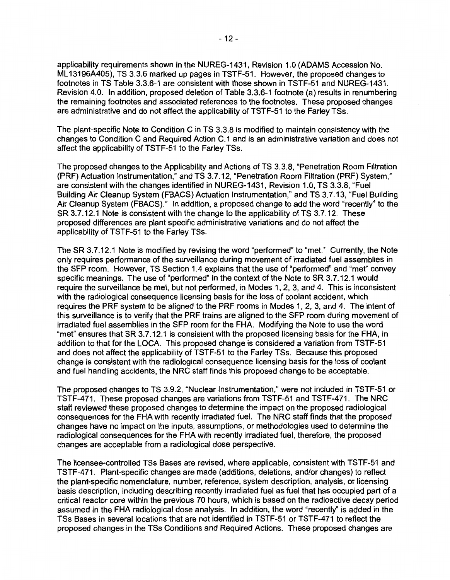applicability requirements shown in the NUREG-1431, Revision 1.0 (ADAMS Accession No. ML 13196A405), TS 3.3.6 marked up pages in TSTF-51. However, the proposed changes to footnotes in TS Table 3.3.6-1 are consistent with those shown in TSTF-51 and NUREG-1431, Revision 4.0. In addition, proposed deletion of Table 3.3.6-1 footnote (a) results in renumbering the remaining footnotes and associated references to the footnotes. These proposed changes are administrative and do not affect the applicability of TSTF-51 to the Farley TSs.

The plant-specific Note to Condition C in TS 3.3.8 is modified to maintain consistency with the changes to Condition C and Required Action C.1 and is an administrative variation and does not affect the applicability of TSTF-51 to the Farley TSs.

The proposed changes to the Applicability and Actions of TS 3.3.8, "Penetration Room Filtration (PRF) Actuation Instrumentation," and TS 3. 7.12, "Penetration Room Filtration (PRF) System," are consistent with the changes identified in NUREG-1431, Revision 1.0, TS 3.3.8, "Fuel Building Air Cleanup System (FBACS) Actuation Instrumentation," and TS 3.7.13, "Fuel Building Air Cleanup System (FBACS)." In addition, a proposed change to add the word "recently" to the SR 3.7.12.1 Note is consistent with the change to the applicability of TS 3.7.12. These proposed differences are plant specific administrative variations and do not affect the applicability of TSTF-51 to the Farley TSs.

The SR 3.7.12.1 Note is modified by revising the word "performed" to "met." Currently, the Note only requires performance of the surveillance during movement of irradiated fuel assemblies in the SFP room. However, TS Section 1.4 explains that the use of "performed" and "met" convey specific meanings. The use of "performed" in the context of the Note to SR 3.7.12.1 would require the surveillance be met, but not performed, in Modes 1, 2, 3, and 4. This is inconsistent with the radiological consequence licensing basis for the loss of coolant accident, which requires the PRF system to be aligned to the PRF rooms in Modes 1, 2, 3, and 4. The intent of this surveillance is to verify that the PRF trains are aligned to the SFP room during movement of irradiated fuel assemblies in the SFP room for the FHA. Modifying the Note to use the word "met" ensures that SR 3.7.12.1 is consistent with the proposed licensing basis for the FHA, in addition to that for the LOCA. This proposed change is considered a variation from TSTF-51 and does not affect the applicability of TSTF-51 to the Farley TSs. Because this proposed change is consistent with the radiological consequence licensing basis for the loss of coolant and fuel handling accidents, the NRC staff finds this proposed change to be acceptable.

The proposed changes to TS 3.9.2, "Nuclear Instrumentation," were not included in TSTF-51 or TSTF-471. These proposed changes are variations from TSTF-51 and TSTF-471. The NRC staff reviewed these proposed changes to determine the impact on the proposed radiological consequences for the FHA with recently irradiated fuel. The NRC staff finds that the proposed changes have no impact on the inputs, assumptions, or methodologies used to determine the radiological consequences for the FHA with recently irradiated fuel, therefore, the proposed changes are acceptable from a radiological dose perspective.

The licensee-controlled TSs Bases are revised, where applicable, consistent with TSTF-51 and TSTF-471. Plant-specific changes are made (additions, deletions, and/or changes) to reflect the plant-specific nomenclature, number, reference, system description, analysis, or licensing basis description, including describing recently irradiated fuel as fuel that has occupied part of a critical reactor core within the previous 70 hours, which is based on the radioactive decay period assumed in the FHA radiological dose analysis. In addition, the word "recently" is added in the TSs Bases in several locations that are not identified in TSTF-51 or TSTF-471 to reflect the proposed changes in the TSs Conditions and Required Actions. These proposed changes are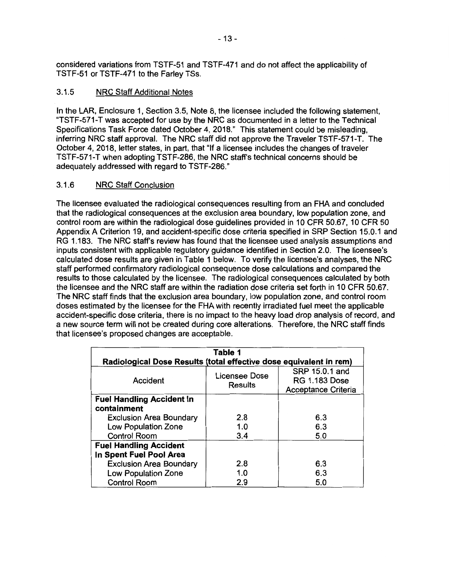considered variations from TSTF-51 and TSTF-471 and do not affect the applicability of TSTF-51 or TSTF-471 to the Farley TSs.

# 3.1.5 NRC Staff Additional Notes

In the LAR, Enclosure 1, Section 3.5, Note 8, the licensee included the following statement, "TSTF-571-T was accepted for use by the NRC as documented in a letter to the Technical Specifications Task Force dated October 4, 2018." This statement could be misleading, inferring NRC staff approval. The NRC staff did not approve the Traveler TSTF-571-T. The October 4, 2018, letter states, in part, that "If a licensee includes the changes of traveler TSTF-571-T when adopting TSTF-286, the NRC staff's technical concerns should be adequately addressed with regard to TSTF-286."

# 3.1.6 NRC Staff Conclusion

The licensee evaluated the radiological consequences resulting from an FHA and concluded that the radiological consequences at the exclusion area boundary, low population zone, and control room are within the radiological dose guidelines provided in 10 CFR 50.67, 10 CFR 50 Appendix A Criterion 19, and accident-specific dose criteria specified in SRP Section 15.0.1 and RG 1.183. The NRC staff's review has found that the licensee used analysis assumptions and inputs consistent with applicable regulatory guidance identified in Section 2.0. The licensee's calculated dose results are given in Table 1 below. To verify the licensee's analyses, the NRC staff performed confirmatory radiological consequence dose calculations and compared the results to those calculated by the licensee. The radiological consequences calculated by both the licensee and the NRC staff are within the radiation dose criteria set forth in 10 CFR 50.67. The NRC staff finds that the exclusion area boundary, low population zone, and control room doses estimated by the licensee for the FHA with recently irradiated fuel meet the applicable accident-specific dose criteria, there is no impact to the heavy load drop analysis of record, and a new source term will not be created during core alterations. Therefore, the NRC staff finds that licensee's proposed changes are acceptable.

| Table 1                                                            |                          |                                                               |  |  |
|--------------------------------------------------------------------|--------------------------|---------------------------------------------------------------|--|--|
| Radiological Dose Results (total effective dose equivalent in rem) |                          |                                                               |  |  |
| Accident                                                           | Licensee Dose<br>Results | SRP 15.0.1 and<br><b>RG 1.183 Dose</b><br>Acceptance Criteria |  |  |
| <b>Fuel Handling Accident In</b>                                   |                          |                                                               |  |  |
| containment                                                        |                          |                                                               |  |  |
| <b>Exclusion Area Boundary</b>                                     | 2.8                      | 6.3                                                           |  |  |
| <b>Low Population Zone</b>                                         | 1.0                      | 6.3                                                           |  |  |
| <b>Control Room</b>                                                | 3.4                      | 5.0                                                           |  |  |
| <b>Fuel Handling Accident</b>                                      |                          |                                                               |  |  |
| In Spent Fuel Pool Area                                            |                          |                                                               |  |  |
| <b>Exclusion Area Boundary</b>                                     | 2.8                      | 6.3                                                           |  |  |
| <b>Low Population Zone</b>                                         | 1.0                      | 6.3                                                           |  |  |
| <b>Control Room</b>                                                | 2.9                      | 5.0                                                           |  |  |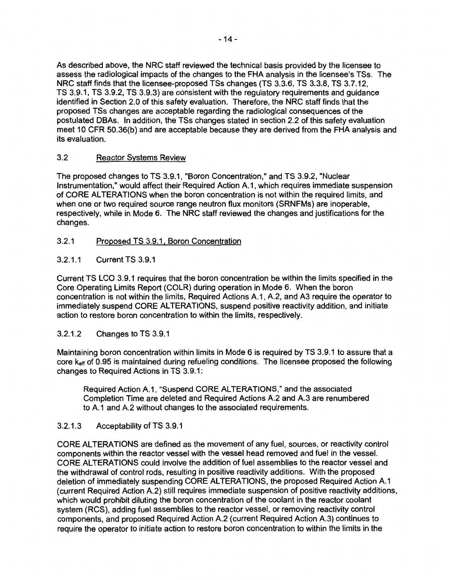As described above, the NRC staff reviewed the technical basis provided by the licensee to assess the radiological impacts of the changes to the FHA analysis in the licensee's TSs. The NRC staff finds that the licensee-proposed TSs changes (TS 3.3.6, TS 3.3.8, TS 3.7.12, TS 3.9.1, TS 3.9.2, TS 3.9.3) are consistent with the regulatory requirements and guidance identified in Section 2.0 of this safety evaluation. Therefore, the NRC staff finds that the proposed TSs changes are acceptable regarding the radiological consequences of the postulated DBAs. In addition, the TSs changes stated in section 2.2 of this safety evaluation meet 10 CFR 50.36(b) and are acceptable because they are derived from the FHA analysis and its evaluation.

# 3.2 Reactor Systems Review

The proposed changes to TS 3.9.1, "Boron Concentration," and TS 3.9.2, "Nuclear Instrumentation," would affect their Required Action A.1, which requires immediate suspension of CORE ALTERATIONS when the boron concentration is not within the required limits, and when one or two required source range neutron flux monitors (SRNFMs) are inoperable, respectively, while in Mode 6. The NRC staff reviewed the changes and justifications for the changes.

#### 3.2.1 Proposed TS 3.9.1, Boron Concentration

3.2.1.1 Current TS 3.9.1

Current TS LCO 3.9.1 requires that the boron concentration be within the limits specified in the Core Operating Limits Report (COLR) during operation in Mode 6. When the boron concentration is not within the limits, Required Actions A.1, A.2, and A3 require the operator to immediately suspend CORE ALTERATIONS, suspend positive reactivity addition, and initiate action to restore boron concentration to within the limits, respectively.

# 3.2.1.2 Changes to TS 3.9.1

Maintaining boron concentration within limits in Mode 6 is required by TS 3.9.1 to assure that a core k<sub>eff</sub> of 0.95 is maintained during refueling conditions. The licensee proposed the following changes to Required Actions in TS 3.9.1:

Required Action A.1, "Suspend CORE ALTERATIONS," and the associated Completion Time are deleted and Required Actions A.2 and A.3 are renumbered to A.1 and A.2 without changes to the associated requirements.

#### 3.2.1.3 Acceptability of TS 3.9.1

CORE ALTERATIONS are defined as the movement of any fuel, sources, or reactivity control components within the reactor vessel with the vessel head removed and fuel in the vessel. CORE ALTERATIONS could involve the addition of fuel assemblies to the reactor vessel and the withdrawal of control rods, resulting in positive reactivity additions. With the proposed deletion of immediately suspending CORE ALTERATIONS, the proposed Required Action A.1 (current Required Action A.2) still requires immediate suspension of positive reactivity additions, which would prohibit diluting the boron concentration of the coolant in the reactor coolant system (RCS), adding fuel assemblies to the reactor vessel, or removing reactivity control components, and proposed Required Action A.2 (current Required Action A.3) continues to require the operator to initiate action to restore boron concentration to within the limits in the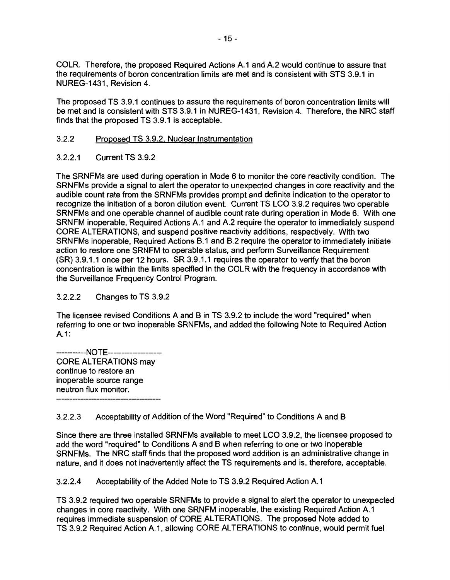COLR. Therefore, the proposed Required Actions A.1 and A.2 would continue to assure that the requirements of boron concentration limits are met and is consistent with STS 3.9.1 in NUREG-1431, Revision 4.

The proposed TS 3.9.1 continues to assure the requirements of boron concentration limits will be met and is consistent with STS 3.9.1 in NUREG-1431, Revision 4. Therefore, the NRC staff finds that the proposed TS 3.9.1 is acceptable.

#### 3.2.2 Proposed TS 3.9.2, Nuclear Instrumentation

#### 3.2.2.1 Current TS 3.9.2

The SRNFMs are used during operation in Mode 6 to monitor the core reactivity condition. The SRNFMs provide a signal to alert the operator to unexpected changes in core reactivity and the audible count rate from the SRNFMs provides prompt and definite indication to the operator to recognize the initiation of a boron dilution event. Current TS LCO 3.9.2 requires two operable SRNFMs and one operable channel of audible count rate during operation in Mode 6. With one SRNFM inoperable, Required Actions A.1 and A.2 require the operator to immediately suspend CORE ALTERATIONS, and suspend positive reactivity additions, respectively. With two SRNFMs inoperable, Required Actions B.1 and B.2 require the operator to immediately initiate action to restore one SRNFM to operable status, and perform Surveillance Requirement (SR) 3.9.1.1 once per 12 hours. SR 3.9.1.1 requires the operator to verify that the boron concentration is within the limits specified in the COLR with the frequency in accordance with the Surveillance Frequency Control Program.

# 3.2.2.2 Changes to TS 3.9.2

The licensee revised Conditions A and B in TS 3.9.2 to include the word "required" when referring to one or two inoperable SRNFMs, and added the following Note to Required Action A.1:

-----------NOTE-------------------- CORE ALTERATIONS may continue to restore an inoperable source range neutron flux monitor.

3.2.2.3 Acceptability of Addition of the Word "Required" to Conditions A and B

Since there are three installed SRNFMs available to meet LCO 3.9.2, the licensee proposed to add the word "required" to Conditions A and B when referring to one or two inoperable SRNFMs. The NRC staff finds that the proposed word addition is an administrative change in nature, and it does not inadvertently affect the TS requirements and is, therefore, acceptable.

3.2.2.4 Acceptability of the Added Note to TS 3.9.2 Required Action A.1

TS 3.9.2 required two operable SRNFMs to provide a signal to alert the operator to unexpected changes in core reactivity. With one SRNFM inoperable, the existing Required Action A.1 requires immediate suspension of CORE ALTERATIONS. The proposed Note added to TS 3.9.2 Required Action A.1, allowing CORE ALTERATIONS to continue, would permit fuel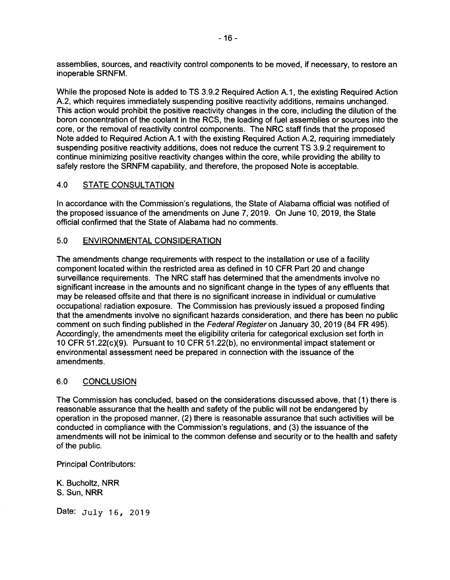assemblies, sources, and reactivity control components to be moved, if necessary, to restore an inoperable SRNFM.

While the proposed Note is added to TS 3.9.2 Required Action A.1, the existing Required Action A.2, which requires immediately suspending positive reactivity additions, remains unchanged. This action would prohibit the positive reactivity changes in the core, including the dilution of the boron concentration of the coolant in the RCS, the loading of fuel assemblies or sources into the core, or the removal of reactivity control components. The NRC staff finds that the proposed Note added to Required Action A.1 with the existing Required Action A.2, requiring immediately suspending positive reactivity additions, does not reduce the current TS 3.9.2 requirement to continue minimizing positive reactivity changes within the core, while providing the ability to safely restore the SRNFM capability, and therefore, the proposed Note is acceptable.

# 4.0 STATE CONSULTATION

In accordance with the Commission's regulations, the State of Alabama official was notified of the proposed issuance of the amendments on June 7, 2019. On June 10, 2019, the State official confirmed that the State of Alabama had no comments.

# 5.0 ENVIRONMENTAL CONSIDERATION

The amendments change requirements with respect to the installation or use of a facility component located within the restricted area as defined in 10 CFR Part 20 and change surveillance requirements. The NRC staff has determined that the amendments involve no significant increase in the amounts and no significant change in the types of any effluents that may be released offsite and that there is no significant increase in individual or cumulative occupational radiation exposure. The Commission has previously issued a proposed finding that the amendments involve no significant hazards consideration, and there has been no public comment on such finding published in the Federal Register on January 30, 2019 (84 FR 495). Accordingly, the amendments meet the eligibility criteria for categorical exclusion set forth in 10 CFR 51.22(c)(9). Pursuant to 10 CFR 51.22(b), no environmental impact statement or environmental assessment need be prepared in connection with the issuance of the amendments.

# 6.0 CONCLUSION

The Commission has concluded, based on the considerations discussed above, that (1) there is reasonable assurance that the health and safety of the public will not be endangered by operation in the proposed manner, (2) there is reasonable assurance that such activities will be conducted in compliance with the Commission's regulations, and (3) the issuance of the amendments will not be inimical to the common defense and security or to the health and safety of the public.

Principal Contributors:

K. Bucholtz, NRR S. Sun, **NRR** 

Date:  $July 16, 2019$